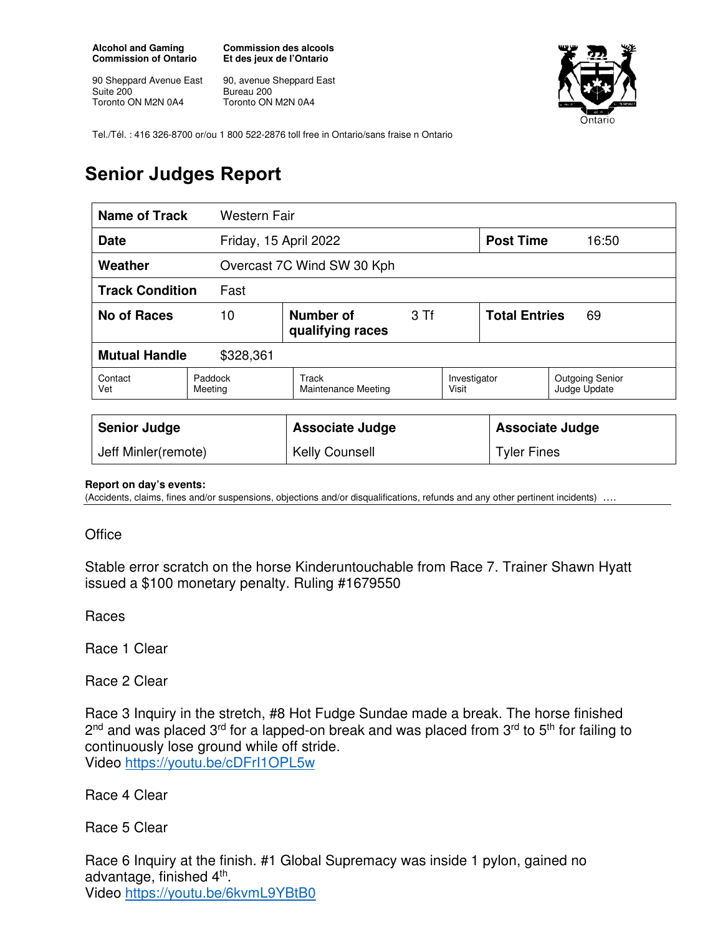**Alcohol and Gaming Commission of Ontario** 

90 Sheppard Avenue East Suite 200 Toronto ON M2N 0A4

**Commission des alcools Et des jeux de l'Ontario** 

90, avenue Sheppard East Bureau 200 Toronto ON M2N 0A4



Tel./Tél. : 416 326-8700 or/ou 1 800 522-2876 toll free in Ontario/sans fraise n Ontario

## **Senior Judges Report**

| Name of Track                        | Western Fair       |                                       |  |                       |                            |                                        |  |
|--------------------------------------|--------------------|---------------------------------------|--|-----------------------|----------------------------|----------------------------------------|--|
| Friday, 15 April 2022<br><b>Date</b> |                    |                                       |  |                       | <b>Post Time</b>           | 16:50                                  |  |
| Weather                              |                    | Overcast 7C Wind SW 30 Kph            |  |                       |                            |                                        |  |
| <b>Track Condition</b><br>Fast       |                    |                                       |  |                       |                            |                                        |  |
| <b>No of Races</b>                   | 10                 | Number of<br>3 Tf<br>qualifying races |  |                       | <b>Total Entries</b><br>69 |                                        |  |
| <b>Mutual Handle</b><br>\$328,361    |                    |                                       |  |                       |                            |                                        |  |
| Contact<br>Vet                       | Paddock<br>Meeting | Track<br>Maintenance Meeting          |  | Investigator<br>Visit |                            | <b>Outgoing Senior</b><br>Judge Update |  |
|                                      |                    |                                       |  |                       |                            |                                        |  |
| <b>Senior Judge</b>                  |                    | <b>Associate Judge</b>                |  |                       | <b>Associate Judge</b>     |                                        |  |
| Jeff Minler(remote)                  |                    | <b>Kelly Counsell</b>                 |  | <b>Tyler Fines</b>    |                            |                                        |  |

## **Report on day's events:**

(Accidents, claims, fines and/or suspensions, objections and/or disqualifications, refunds and any other pertinent incidents)

**Office** 

Stable error scratch on the horse Kinderuntouchable from Race 7. Trainer Shawn Hyatt issued a \$100 monetary penalty. Ruling #1679550

Races

Race 1 Clear

Race 2 Clear

Race 3 Inquiry in the stretch, #8 Hot Fudge Sundae made a break. The horse finished 2<sup>nd</sup> and was placed 3<sup>rd</sup> for a lapped-on break and was placed from 3<sup>rd</sup> to 5<sup>th</sup> for failing to continuously lose ground while off stride. Video https://youtu.be/cDFrI1OPL5w

Race 4 Clear

Race 5 Clear

Race 6 Inquiry at the finish. #1 Global Supremacy was inside 1 pylon, gained no advantage, finished 4<sup>th</sup>. Video https://youtu.be/6kvmL9YBtB0